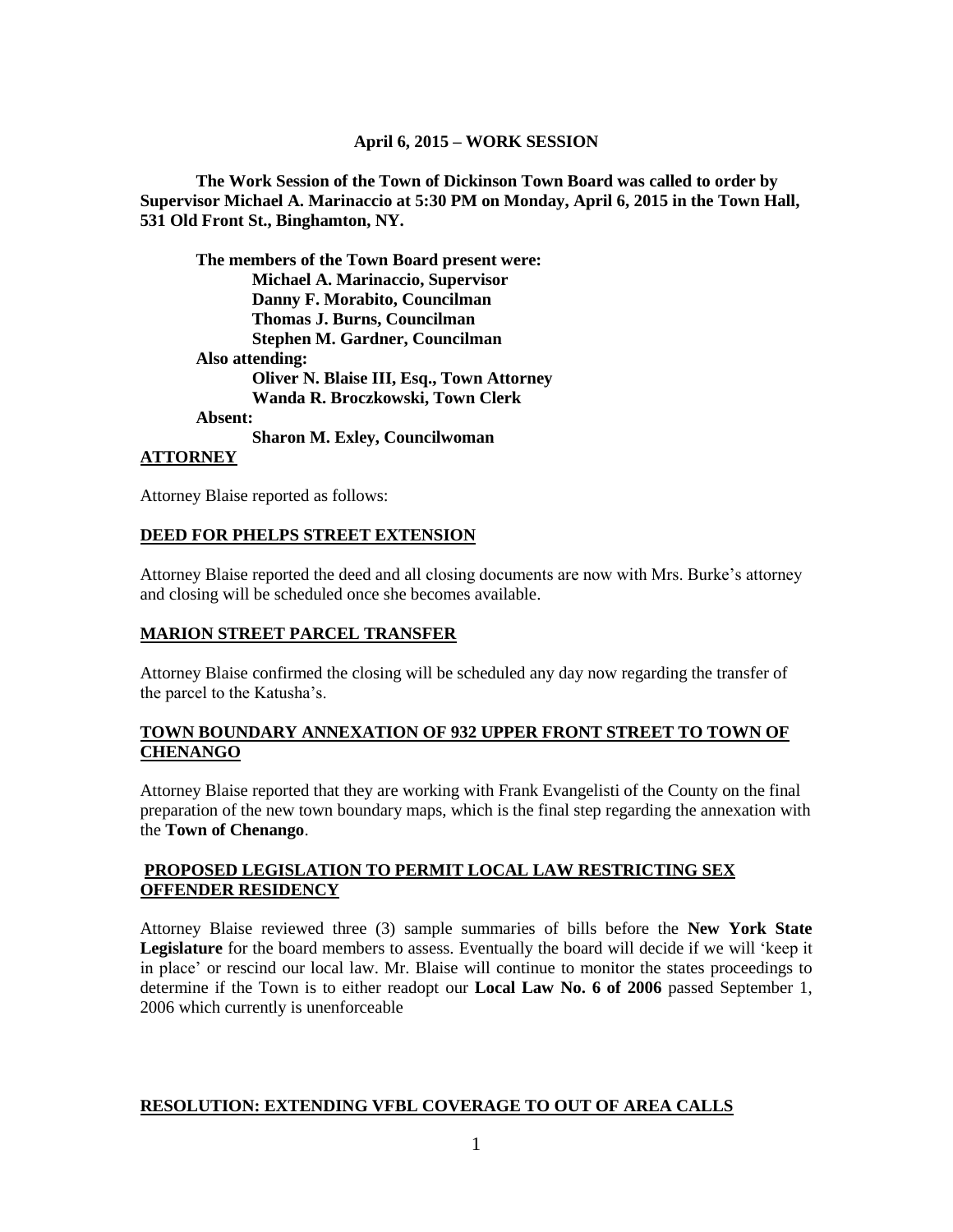### **April 6, 2015 – WORK SESSION**

**The Work Session of the Town of Dickinson Town Board was called to order by Supervisor Michael A. Marinaccio at 5:30 PM on Monday, April 6, 2015 in the Town Hall, 531 Old Front St., Binghamton, NY.**

**The members of the Town Board present were: Michael A. Marinaccio, Supervisor Danny F. Morabito, Councilman Thomas J. Burns, Councilman Stephen M. Gardner, Councilman Also attending: Oliver N. Blaise III, Esq., Town Attorney Wanda R. Broczkowski, Town Clerk Absent: Sharon M. Exley, Councilwoman**

**ATTORNEY**

Attorney Blaise reported as follows:

### **DEED FOR PHELPS STREET EXTENSION**

Attorney Blaise reported the deed and all closing documents are now with Mrs. Burke's attorney and closing will be scheduled once she becomes available.

### **MARION STREET PARCEL TRANSFER**

Attorney Blaise confirmed the closing will be scheduled any day now regarding the transfer of the parcel to the Katusha's.

### **TOWN BOUNDARY ANNEXATION OF 932 UPPER FRONT STREET TO TOWN OF CHENANGO**

Attorney Blaise reported that they are working with Frank Evangelisti of the County on the final preparation of the new town boundary maps, which is the final step regarding the annexation with the **Town of Chenango**.

## **PROPOSED LEGISLATION TO PERMIT LOCAL LAW RESTRICTING SEX OFFENDER RESIDENCY**

Attorney Blaise reviewed three (3) sample summaries of bills before the **New York State Legislature** for the board members to assess. Eventually the board will decide if we will 'keep it in place' or rescind our local law. Mr. Blaise will continue to monitor the states proceedings to determine if the Town is to either readopt our **Local Law No. 6 of 2006** passed September 1, 2006 which currently is unenforceable

### **RESOLUTION: EXTENDING VFBL COVERAGE TO OUT OF AREA CALLS**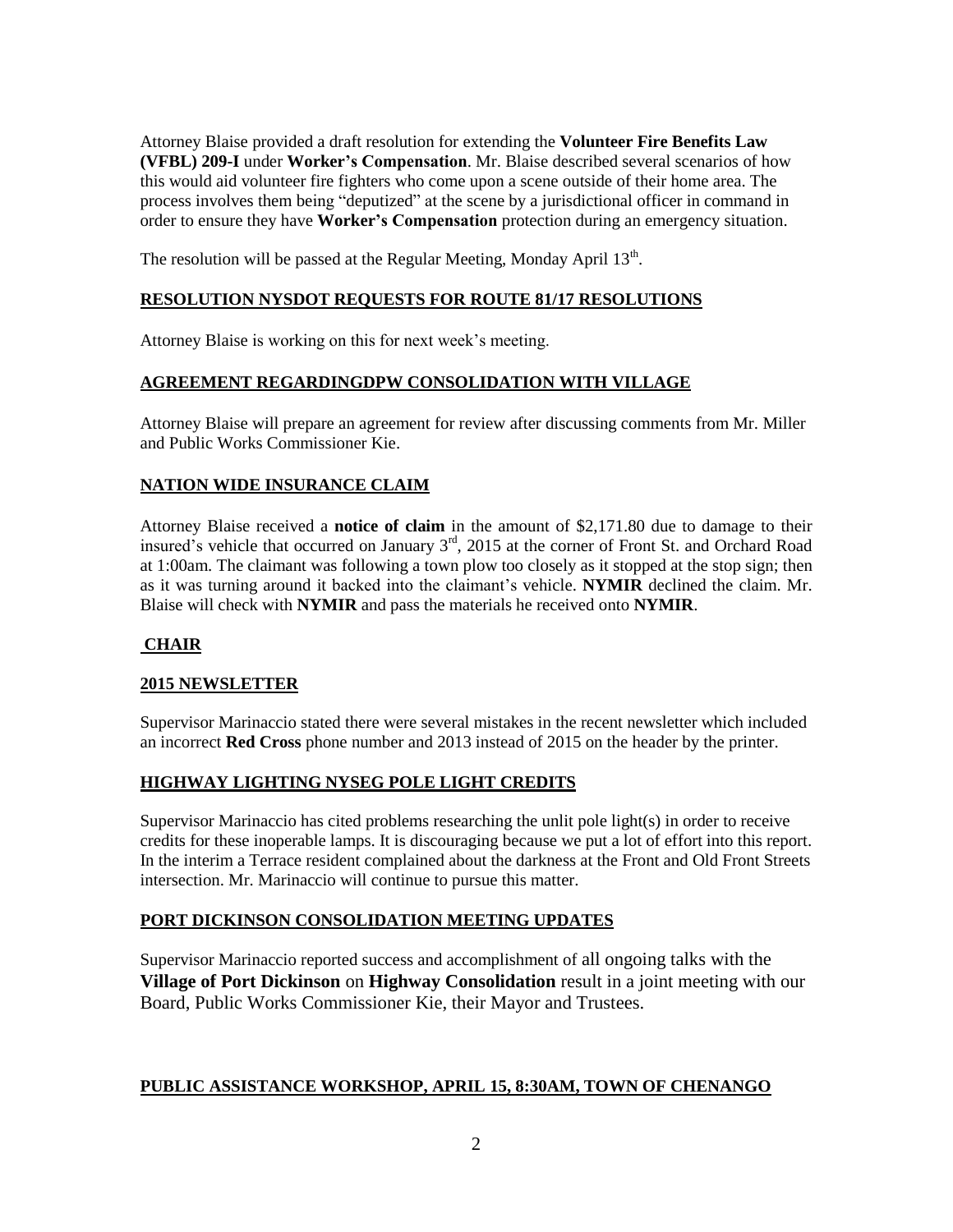Attorney Blaise provided a draft resolution for extending the **Volunteer Fire Benefits Law (VFBL) 209-I** under **Worker's Compensation**. Mr. Blaise described several scenarios of how this would aid volunteer fire fighters who come upon a scene outside of their home area. The process involves them being "deputized" at the scene by a jurisdictional officer in command in order to ensure they have **Worker's Compensation** protection during an emergency situation.

The resolution will be passed at the Regular Meeting, Monday April  $13<sup>th</sup>$ .

## **RESOLUTION NYSDOT REQUESTS FOR ROUTE 81/17 RESOLUTIONS**

Attorney Blaise is working on this for next week's meeting.

## **AGREEMENT REGARDINGDPW CONSOLIDATION WITH VILLAGE**

Attorney Blaise will prepare an agreement for review after discussing comments from Mr. Miller and Public Works Commissioner Kie.

### **NATION WIDE INSURANCE CLAIM**

Attorney Blaise received a **notice of claim** in the amount of \$2,171.80 due to damage to their insured's vehicle that occurred on January 3rd, 2015 at the corner of Front St. and Orchard Road at 1:00am. The claimant was following a town plow too closely as it stopped at the stop sign; then as it was turning around it backed into the claimant's vehicle. **NYMIR** declined the claim. Mr. Blaise will check with **NYMIR** and pass the materials he received onto **NYMIR**.

### **CHAIR**

### **2015 NEWSLETTER**

Supervisor Marinaccio stated there were several mistakes in the recent newsletter which included an incorrect **Red Cross** phone number and 2013 instead of 2015 on the header by the printer.

### **HIGHWAY LIGHTING NYSEG POLE LIGHT CREDITS**

Supervisor Marinaccio has cited problems researching the unlit pole light(s) in order to receive credits for these inoperable lamps. It is discouraging because we put a lot of effort into this report. In the interim a Terrace resident complained about the darkness at the Front and Old Front Streets intersection. Mr. Marinaccio will continue to pursue this matter.

### **PORT DICKINSON CONSOLIDATION MEETING UPDATES**

Supervisor Marinaccio reported success and accomplishment of all ongoing talks with the **Village of Port Dickinson** on **Highway Consolidation** result in a joint meeting with our Board, Public Works Commissioner Kie, their Mayor and Trustees.

### **PUBLIC ASSISTANCE WORKSHOP, APRIL 15, 8:30AM, TOWN OF CHENANGO**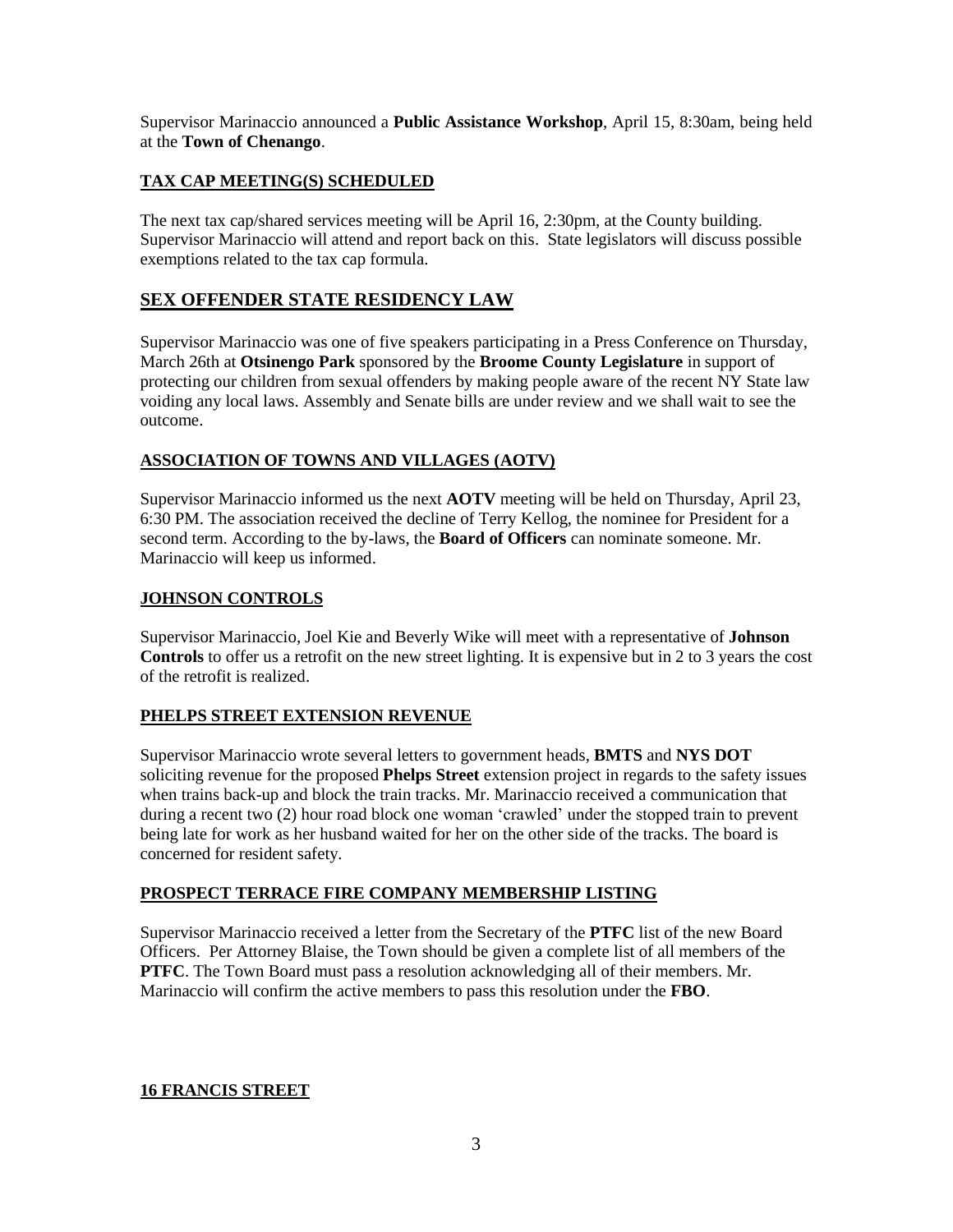Supervisor Marinaccio announced a **Public Assistance Workshop**, April 15, 8:30am, being held at the **Town of Chenango**.

## **TAX CAP MEETING(S) SCHEDULED**

The next tax cap/shared services meeting will be April 16, 2:30pm, at the County building. Supervisor Marinaccio will attend and report back on this. State legislators will discuss possible exemptions related to the tax cap formula.

# **SEX OFFENDER STATE RESIDENCY LAW**

Supervisor Marinaccio was one of five speakers participating in a Press Conference on Thursday, March 26th at **Otsinengo Park** sponsored by the **Broome County Legislature** in support of protecting our children from sexual offenders by making people aware of the recent NY State law voiding any local laws. Assembly and Senate bills are under review and we shall wait to see the outcome.

### **ASSOCIATION OF TOWNS AND VILLAGES (AOTV)**

Supervisor Marinaccio informed us the next **AOTV** meeting will be held on Thursday, April 23, 6:30 PM. The association received the decline of Terry Kellog, the nominee for President for a second term. According to the by-laws, the **Board of Officers** can nominate someone. Mr. Marinaccio will keep us informed.

### **JOHNSON CONTROLS**

Supervisor Marinaccio, Joel Kie and Beverly Wike will meet with a representative of **Johnson Controls** to offer us a retrofit on the new street lighting. It is expensive but in 2 to 3 years the cost of the retrofit is realized.

### **PHELPS STREET EXTENSION REVENUE**

Supervisor Marinaccio wrote several letters to government heads, **BMTS** and **NYS DOT** soliciting revenue for the proposed **Phelps Street** extension project in regards to the safety issues when trains back-up and block the train tracks. Mr. Marinaccio received a communication that during a recent two (2) hour road block one woman 'crawled' under the stopped train to prevent being late for work as her husband waited for her on the other side of the tracks. The board is concerned for resident safety.

### **PROSPECT TERRACE FIRE COMPANY MEMBERSHIP LISTING**

Supervisor Marinaccio received a letter from the Secretary of the **PTFC** list of the new Board Officers. Per Attorney Blaise, the Town should be given a complete list of all members of the **PTFC**. The Town Board must pass a resolution acknowledging all of their members. Mr. Marinaccio will confirm the active members to pass this resolution under the **FBO**.

### **16 FRANCIS STREET**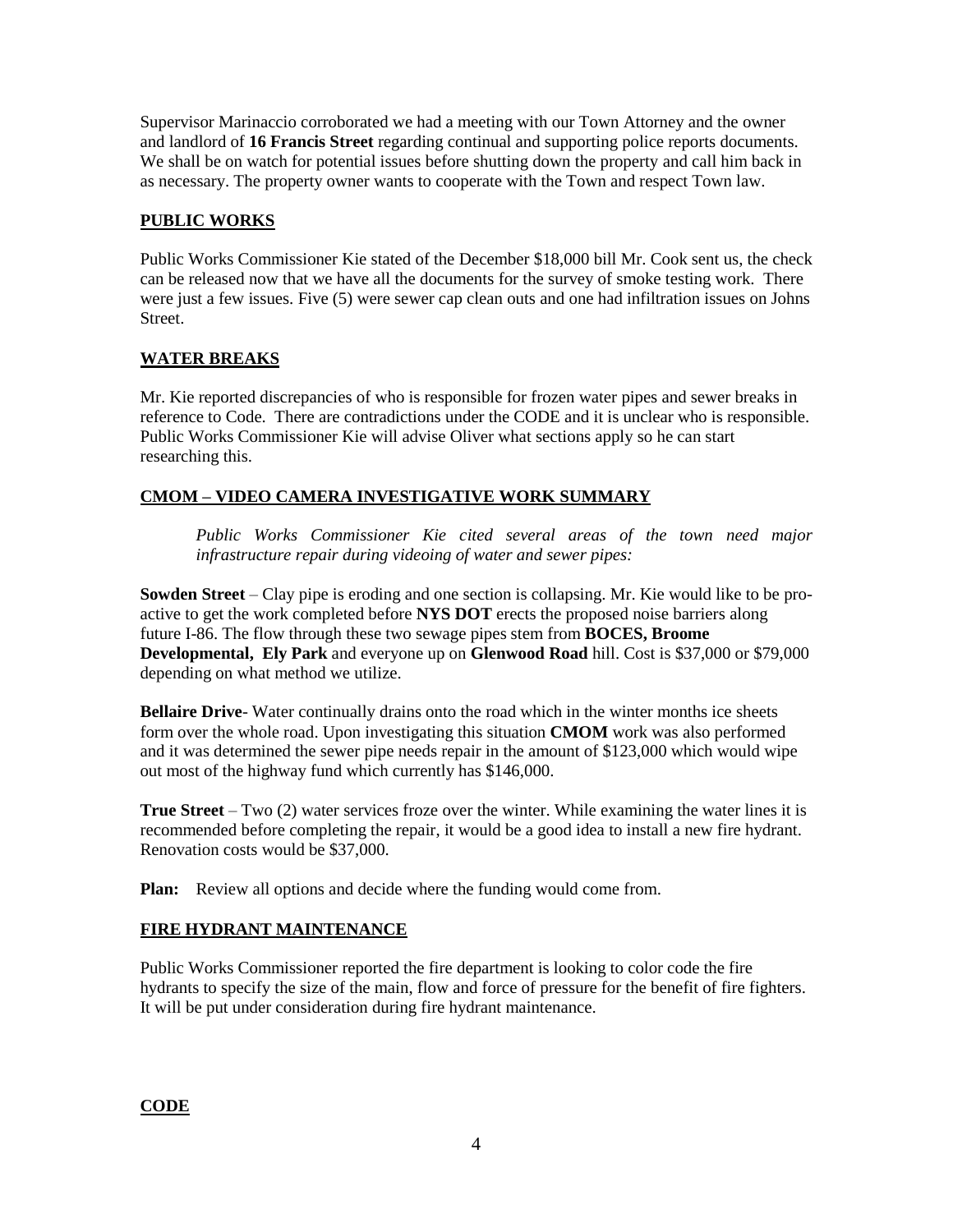Supervisor Marinaccio corroborated we had a meeting with our Town Attorney and the owner and landlord of **16 Francis Street** regarding continual and supporting police reports documents. We shall be on watch for potential issues before shutting down the property and call him back in as necessary. The property owner wants to cooperate with the Town and respect Town law.

## **PUBLIC WORKS**

Public Works Commissioner Kie stated of the December \$18,000 bill Mr. Cook sent us, the check can be released now that we have all the documents for the survey of smoke testing work. There were just a few issues. Five (5) were sewer cap clean outs and one had infiltration issues on Johns Street.

## **WATER BREAKS**

Mr. Kie reported discrepancies of who is responsible for frozen water pipes and sewer breaks in reference to Code. There are contradictions under the CODE and it is unclear who is responsible. Public Works Commissioner Kie will advise Oliver what sections apply so he can start researching this.

# **CMOM – VIDEO CAMERA INVESTIGATIVE WORK SUMMARY**

*Public Works Commissioner Kie cited several areas of the town need major infrastructure repair during videoing of water and sewer pipes:*

**Sowden Street** – Clay pipe is eroding and one section is collapsing. Mr. Kie would like to be proactive to get the work completed before **NYS DOT** erects the proposed noise barriers along future I-86. The flow through these two sewage pipes stem from **BOCES, Broome Developmental, Ely Park** and everyone up on **Glenwood Road** hill. Cost is \$37,000 or \$79,000 depending on what method we utilize.

**Bellaire Drive**- Water continually drains onto the road which in the winter months ice sheets form over the whole road. Upon investigating this situation **CMOM** work was also performed and it was determined the sewer pipe needs repair in the amount of \$123,000 which would wipe out most of the highway fund which currently has \$146,000.

**True Street** – Two (2) water services froze over the winter. While examining the water lines it is recommended before completing the repair, it would be a good idea to install a new fire hydrant. Renovation costs would be \$37,000.

**Plan:** Review all options and decide where the funding would come from.

# **FIRE HYDRANT MAINTENANCE**

Public Works Commissioner reported the fire department is looking to color code the fire hydrants to specify the size of the main, flow and force of pressure for the benefit of fire fighters. It will be put under consideration during fire hydrant maintenance.

### **CODE**